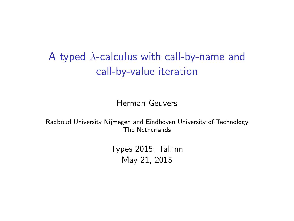A typed  $\lambda$ -calculus with call-by-name and call-by-value iteration

Herman Geuvers

Radboud University Nijmegen and Eindhoven University of Technology The Netherlands

> Types 2015, Tallinn May 21, 2015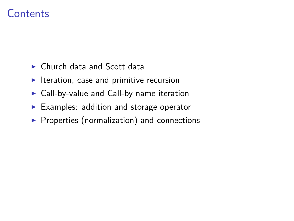## Contents

- $\triangleright$  Church data and Scott data
- $\blacktriangleright$  Iteration, case and primitive recursion
- $\triangleright$  Call-by-value and Call-by name iteration
- $\blacktriangleright$  Examples: addition and storage operator
- $\blacktriangleright$  Properties (normalization) and connections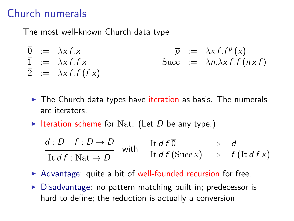## Church numerals

The most well-known Church data type

- $\overline{0}$  :=  $\lambda x f.x$   $\overline{p}$  :=  $\lambda x f.f^p(x)$  $\overline{1}$  :=  $\lambda x f.f x$  Succ :=  $\lambda n.\lambda x f.f (n \times f)$  $\overline{2}$  :=  $\lambda x f.f (f x)$ 
	- $\triangleright$  The Church data types have iteration as basis. The numerals are iterators.
	- Iteration scheme for Nat. (Let D be any type.)

$$
\frac{d:D \ f:D \to D}{\text{It } d f:\text{Nat} \to D} \quad \text{with} \quad \begin{array}{l}\n\text{It } d f \overline{0} \qquad \to \quad d \\
\text{It } d f (\text{Succ } x) \quad \to \quad f (\text{It } d f x)\n\end{array}
$$

- $\triangleright$  Advantage: quite a bit of well-founded recursion for free.
- $\triangleright$  Disadvantage: no pattern matching built in; predecessor is hard to define; the reduction is actually a conversion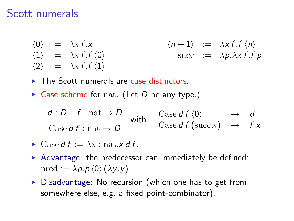### Scott numerals

- $\langle 0 \rangle$  :=  $\lambda x f.x$ <br>  $\langle 1 \rangle$  :=  $\lambda x f.f$   $\langle 0 \rangle$ <br>  $\langle 1 \rangle$  :=  $\lambda x f.f$   $\langle n \rangle$ <br>  $\langle n+1 \rangle$  :=  $\lambda x f.f$   $\langle n \rangle$ succ  $:= \lambda p.\lambda x f.f p$  $\langle 2 \rangle$  :=  $\lambda x f.f \langle 1 \rangle$
- $\blacktriangleright$  The Scott numerals are case distinctors.
- $\triangleright$  Case scheme for nat. (Let D be any type.)

$$
\frac{d : D \quad f : \text{nat} \to D}{\text{Case } d \, f : \text{nat} \to D} \quad \text{with} \quad \frac{\text{Case } d \, f \, \langle 0 \rangle}{\text{Case } d \, f \, (\text{succ } x)} \quad \rightarrow \quad f \, x
$$

$$
\blacktriangleright \text{Case } df := \lambda x : \text{nat}.x \, df.
$$

- $\triangleright$  Advantage: the predecessor can immediately be defined: pred :=  $\lambda p.p \langle 0 \rangle (\lambda y.y)$ .
- $\triangleright$  Disadvantage: No recursion (which one has to get from somewhere else, e.g. a fixed point-combinator).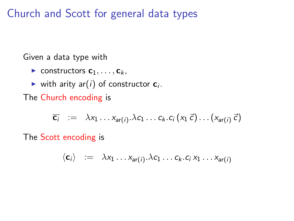Church and Scott for general data types

Given a data type with

- $\blacktriangleright$  constructors  $c_1, \ldots, c_k$ ,
- ighth arity ard v in constructor  $c_i$ .

The Church encoding is

$$
\overline{c_i} := \lambda x_1 \dots x_{ar(i)}.\lambda c_1 \dots c_k.c_i (x_1 \vec{c}) \dots (x_{ar(i)} \vec{c})
$$

The Scott encoding is

$$
\langle \mathbf{c}_i \rangle \ := \ \lambda x_1 \dots x_{\mathsf{ar}(i)} \cdot \lambda c_1 \dots c_k \cdot c_i \, x_1 \dots x_{\mathsf{ar}(i)}
$$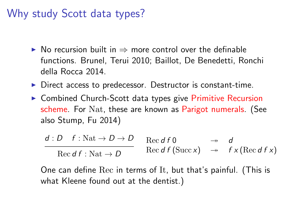# Why study Scott data types?

- $\triangleright$  No recursion built in  $\Rightarrow$  more control over the definable functions. Brunel, Terui 2010; Baillot, De Benedetti, Ronchi della Rocca 2014.
- $\triangleright$  Direct access to predecessor. Destructor is constant-time.
- $\triangleright$  Combined Church-Scott data types give Primitive Recursion scheme. For Nat, these are known as Parigot numerals. (See also Stump, Fu 2014)

$$
\frac{d: D \quad f: \text{Nat} \to D \to D}{\text{Rec of } f: \text{Nat} \to D} \quad \text{Rec of } f \text{ (Succ x)} \quad \xrightarrow{\rightarrow} \quad d \quad f \times (\text{Rec of } f \times)
$$

One can define Rec in terms of It, but that's painful. (This is what Kleene found out at the dentist.)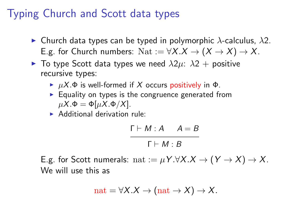# Typing Church and Scott data types

- **In Church data types can be typed in polymorphic**  $\lambda$ **-calculus,**  $\lambda$ **2.** E.g. for Church numbers: Nat :=  $\forall X.X \to (X \to X) \to X$ .
- $\blacktriangleright$  To type Scott data types we need  $\lambda 2\mu$ :  $\lambda 2 +$  positive recursive types:
	- $\triangleright$   $\mu$ X. $\Phi$  is well-formed if X occurs positively in  $\Phi$ .
	- $\blacktriangleright$  Equality on types is the congruence generated from  $\mu X.\Phi = \Phi[\mu X.\Phi/X].$
	- $\blacktriangleright$  Additional derivation rule:

$$
\begin{array}{ccc}\n\Gamma \vdash M : A & A = B \\
\hline\n\Gamma \vdash M : B\n\end{array}
$$

E.g. for Scott numerals: nat :=  $\mu Y. \forall X. X \rightarrow (Y \rightarrow X) \rightarrow X$ . We will use this as

$$
nat = \forall X.X \rightarrow (nat \rightarrow X) \rightarrow X.
$$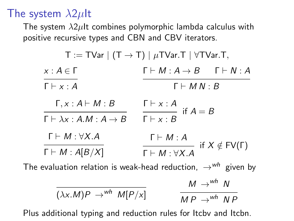## The system  $\lambda 2\mu$ It

The system  $\lambda 2\mu$ It combines polymorphic lambda calculus with positive recursive types and CBN and CBV iterators.

| $T := TVar \mid (T \rightarrow T) \mid \mu TVar \cdot T \mid \forall TVar \cdot T$ , |                                                             |
|--------------------------------------------------------------------------------------|-------------------------------------------------------------|
| $x:A\in\Gamma$                                                                       | $\Gamma \vdash M : A \rightarrow B$ $\Gamma \vdash N : A$   |
| $\Gamma \vdash x : A$                                                                | $\Gamma \vdash M N : B$                                     |
| $\Gamma, x : A \vdash M : B$                                                         | $\Gamma \vdash x : A$<br>$\frac{\ }{\ }$ if $A = B$         |
| $\Gamma \vdash \lambda x : A.M : A \rightarrow B$                                    | $\Gamma \vdash x : B$                                       |
| $\Gamma \vdash M : \forall X.A$                                                      | $\Gamma \vdash M : A$                                       |
| $\Gamma \vdash M : A[B/X]$                                                           | if $X \notin FV(\Gamma)$<br>$\Gamma \vdash M : \forall X.A$ |
| The evaluation relation is weak-head reduction, $\rightarrow ^{wh}$ given by         |                                                             |
|                                                                                      | $M \rightarrow^{wh} N$                                      |

$$
\frac{1}{(\lambda x.M)P \rightarrow^{wh} M[P/x]} \qquad \frac{m \rightarrow m}{MP \rightarrow^{wh} NP}
$$

Plus additional typing and reduction rules for Itcbv and Itcbn.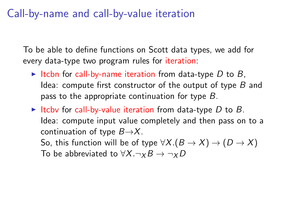## Call-by-name and call-by-value iteration

To be able to define functions on Scott data types, we add for every data-type two program rules for iteration:

- Itchn for call-by-name iteration from data-type  $D$  to  $B$ . Idea: compute first constructor of the output of type  $B$  and pass to the appropriate continuation for type B.
- Itcby for call-by-value iteration from data-type D to B. Idea: compute input value completely and then pass on to a continuation of type  $B\rightarrow X$ .

So, this function will be of type  $\forall X.(B \rightarrow X) \rightarrow (D \rightarrow X)$ To be abbreviated to  $\forall X.\neg_X B \rightarrow \neg_X D$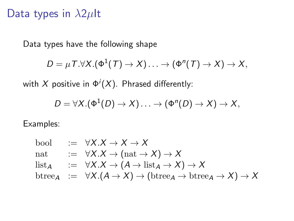### Data types in  $\lambda 2\mu$ lt

Data types have the following shape

$$
D = \mu \mathsf{T}.\forall \mathsf{X}.(\Phi^1(\mathsf{T}) \to \mathsf{X})\ldots \to (\Phi^n(\mathsf{T}) \to \mathsf{X}) \to \mathsf{X},
$$

with  $X$  positive in  $\Phi^i(X)$ . Phrased differently:

$$
D=\forall X.(\Phi^1(D)\to X)\ldots\to(\Phi^n(D)\to X)\to X,
$$

Examples:

\n
$$
\text{bool} \quad := \quad \forall X. X \to X \to X
$$
\n

\n\n
$$
\text{nat} \quad := \quad \forall X. X \to (\text{nat} \to X) \to X
$$
\n

\n\n
$$
\text{list}_{A} \quad := \quad \forall X. X \to (A \to \text{list}_{A} \to X) \to X
$$
\n

\n\n
$$
\text{btree}_{A} \quad := \quad \forall X. (A \to X) \to (\text{btree}_{A} \to \text{btree}_{A} \to X) \to X
$$
\n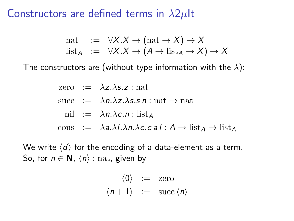### Constructors are defined terms in  $\lambda 2\mu$ lt

$$
\begin{array}{rcl}\n\text{nat} & := & \forall X. X \to (\text{nat} \to X) \to X \\
\text{list}_{A} & := & \forall X. X \to (A \to \text{list}_{A} \to X) \to X\n\end{array}
$$

The constructors are (without type information with the  $\lambda$ ):

zero := 
$$
\lambda z.\lambda s.z
$$
 : nat  
succ :=  $\lambda n.\lambda z.\lambda s.s n$  : nat  $\rightarrow$  nat  
nil :=  $\lambda n.\lambda c.n$  : list<sub>A</sub>  
cons :=  $\lambda a.\lambda l.\lambda n.\lambda c.c a l : A \rightarrow list_A \rightarrow list_A$ 

We write  $\langle d \rangle$  for the encoding of a data-element as a term. So, for  $n \in \mathbb{N}$ ,  $\langle n \rangle$  : nat, given by

$$
\begin{array}{rcl}\n\langle 0 \rangle & := & \text{zero} \\
\langle n+1 \rangle & := & \text{succ} \langle n \rangle\n\end{array}
$$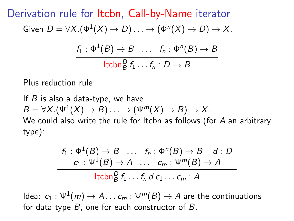Derivation rule for Itcbn, Call-by-Name iterator Given  $D = \forall X.(\Phi^1(X) \to D) \ldots \to (\Phi^n(X) \to D) \to X.$  $f_1: \Phi^1(B) \rightarrow B \quad \ldots \quad f_n: \Phi^n(B) \rightarrow B$  $\mathsf{ltcbn}_B^D f_1 \ldots f_n : D \to B$ 

Plus reduction rule

If  $B$  is also a data-type, we have  $B = \forall X . (\Psi^1(X) \to B) \ldots \to (\Psi^m(X) \to B) \to X.$ We could also write the rule for Itcbn as follows (for A an arbitrary type):

$$
\frac{f_1: \Phi^1(B) \to B \quad \dots \quad f_n: \Phi^n(B) \to B \quad d: D}{c_1: \Psi^1(B) \to A \quad \dots \quad c_m: \Psi^m(B) \to A}
$$
\n
$$
\frac{\mathsf{lcbn}_B^D f_1 \dots f_n d \, c_1 \dots c_m: A}{\mathsf{lcbn}_B^D f_1 \dots f_n d \, c_1 \dots c_m: A}
$$

ldea:  $\,c_1:\Psi^1(m)\to A \ldots c_m:\Psi^m(B)\to A$  are the continuations for data type  $B$ , one for each constructor of  $B$ .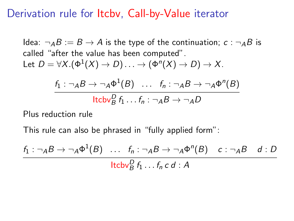### Derivation rule for Itcbv, Call-by-Value iterator

Idea:  $\neg$ <sub>A</sub>B := B  $\rightarrow$  A is the type of the continuation;  $c$  :  $\neg$ <sub>A</sub>B is called "after the value has been computed". Let  $D = \forall X. (\Phi^1(X) \to D) \ldots \to (\Phi^n(X) \to D) \to X.$ 

$$
\frac{f_1: \neg_A B \to \neg_A \Phi^1(B) \dots f_n: \neg_A B \to \neg_A \Phi^n(B)}{\text{ltcbv}_B^D f_1 \dots f_n: \neg_A B \to \neg_A D}
$$

Plus reduction rule

This rule can also be phrased in "fully applied form":

 $f_1: \neg_A B \to \neg_A \Phi^1(B) \quad \dots \quad f_n: \neg_A B \to \neg_A \Phi^n(B) \quad c: \neg_A B \quad d: D$  $\mathsf{ltcbv}_B^D f_1 \ldots f_n c d : A$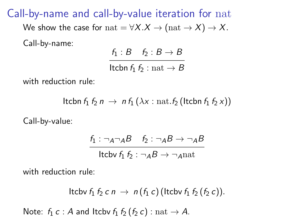Call-by-name and call-by-value iteration for nat

We show the case for  $nat = \forall X.X \rightarrow (nat \rightarrow X) \rightarrow X$ . Call-by-name:

 $f_1 : B \quad f_2 : B \rightarrow B$ 

Itcbn  $f_1 f_2$ : nat  $\rightarrow B$ 

with reduction rule:

Itcbn  $f_1 f_2 n \to n f_1 (\lambda x : \text{nat.} f_2$  (Itcbn  $f_1 f_2 x$ ))

Call-by-value:

$$
\frac{f_1: \neg_A \neg_A B \quad f_2: \neg_A B \rightarrow \neg_A B}{\text{ltcbv } f_1 f_2: \neg_A B \rightarrow \neg_A \text{nat}}
$$

with reduction rule:

Itcbv 
$$
f_1 f_2 c n \rightarrow n(f_1 c)
$$
 (ltcbv  $f_1 f_2 (f_2 c)$ ).

Note:  $f_1 c : A$  and Itcbv  $f_1 f_2 (f_2 c) : \text{nat} \rightarrow A$ .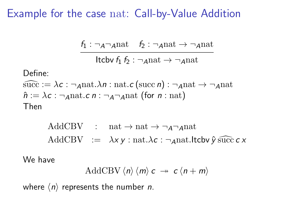### Example for the case nat: Call-by-Value Addition

$$
\frac{f_1: \neg_A \neg_A \text{nat} \quad f_2: \neg_A \text{nat} \rightarrow \neg_A \text{nat}}{\cdot \cdot \cdot \cdot \cdot \cdot}
$$

Itcbv  $f_1 f_2$  :  $\neg$ <sub>A</sub>nat  $\rightarrow \neg$ <sub>A</sub>nat

Define:

$$
\widehat{\text{succ}} := \lambda c : \neg \text{qnat.}\lambda n : \text{nat.}c \text{ (succ } n) : \neg \text{qnat } \rightarrow \neg \text{qnat} \n\hat{n} := \lambda c : \neg \text{qnat.}c n : \neg \text{q-nnat} \text{ (for } n : \text{nat)}
$$
\nThen

AddCBV : nat  $\rightarrow$  nat  $\rightarrow$   $\neg$ <sub>A</sub> $\neg$ <sub>A</sub>nat AddCBV  $:= \lambda x y : \text{nat.}\lambda c : \neg \text{ant.}$ ltcbv $\hat{y}$  succ c x

We have

$$
\text{AddCBV}\langle n\rangle\langle m\rangle c \rightarrow c\langle n+m\rangle
$$

where  $\langle n \rangle$  represents the number *n*.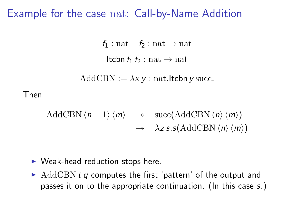#### Example for the case nat: Call-by-Name Addition

 $f_1$ : nat  $f_2$ : nat  $\rightarrow$  nat

Itcbn  $f_1 f_2$ : nat  $\rightarrow$  nat

AddCBN :=  $\lambda x y$  : nat.Itcbn y succ.

Then

AddCBN 
$$
\langle n+1 \rangle \langle m \rangle \rightarrow succ(AddCBN \langle n \rangle \langle m \rangle)
$$
  
 $\rightarrow \lambda z \, s \cdot (AddCBN \langle n \rangle \langle m \rangle)$ 

- $\blacktriangleright$  Weak-head reduction stops here.
- $\blacktriangleright$  AddCBN t q computes the first 'pattern' of the output and passes it on to the appropriate continuation. (In this case s.)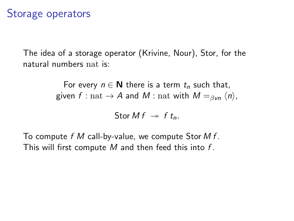## Storage operators

The idea of a storage operator (Krivine, Nour), Stor, for the natural numbers nat is:

> For every  $n \in \mathbb{N}$  there is a term  $t_n$  such that, given f : nat  $\rightarrow$  A and M : nat with  $M =_{\beta \vee n} \langle n \rangle$ ,

> > Stor M  $f \rightarrow f t_n$ .

To compute  $f \mathcal{M}$  call-by-value, we compute Stor  $M f$ . This will first compute M and then feed this into  $f$ .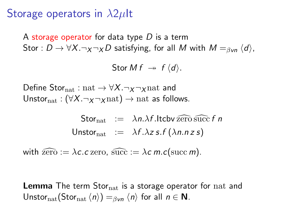## Storage operators in  $\lambda 2\mu$ It

A storage operator for data type  $D$  is a term Stor :  $D \to \forall X. \neg_X \neg_X D$  satisfying, for all M with  $M =_{\beta \lor n} \langle d \rangle$ ,

Stor M  $f \rightarrow f \langle d \rangle$ .

Define Stor<sub>nat</sub> : nat  $\rightarrow \forall X.\neg_X \neg_X$  nat and Unstor<sub>nat</sub> : (∀X.¬ $\chi$ ¬ $\chi$ nat) → nat as follows.

> Stor<sub>nat</sub>  $:= \lambda n.\lambda f$ . Itcby zero succ f n Unstor<sub>nat</sub> :=  $\lambda f \cdot \lambda z$  s. f  $(\lambda n.n z s)$

with  $\widehat{\text{zero}} := \lambda c.c$  zero,  $\widehat{\text{succ}} := \lambda c \, m.c(\text{succ } m)$ .

**Lemma** The term Stor<sub>nat</sub> is a storage operator for nat and Unstor<sub>nat</sub>(Stor<sub>nat</sub>  $\langle n \rangle$ ) =<sub>βvn</sub>  $\langle n \rangle$  for all  $n \in \mathbb{N}$ .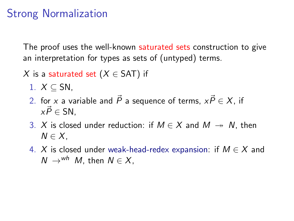# Strong Normalization

The proof uses the well-known saturated sets construction to give an interpretation for types as sets of (untyped) terms.

- X is a saturated set  $(X \in SAT)$  if
	- 1.  $X \subseteq SN$ ,
	- 2. for x a variable and  $\vec{P}$  a sequence of terms,  $x\vec{P} \in X$ , if  $x\vec{P} \in SN$ .
	- 3. X is closed under reduction: if  $M \in X$  and  $M \rightarrow N$ , then  $N \in X$ .
	- 4. X is closed under weak-head-redex expansion: if  $M \in X$  and  $N \rightarrow^{\text{wh}} M$ , then  $N \in X$ .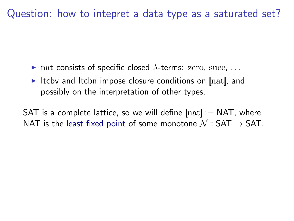Question: how to intepret a data type as a saturated set?

- ightharpoontharpoontal values in the natural value of specific closed  $\lambda$ -terms: zero, succ, ...
- Itcbv and Itcbn impose closure conditions on  $[{\rm nat}]$ , and possibly on the interpretation of other types.

SAT is a complete lattice, so we will define  $[{\rm nat}] := {\sf NAT}$ , where NAT is the least fixed point of some monotone  $\mathcal{N}:$  SAT  $\rightarrow$  SAT.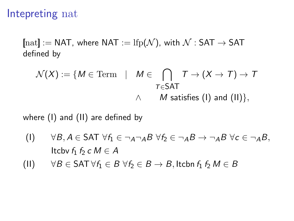## Intepreting nat

 $[{\rm nat}] := {\sf NAT}$ , where  ${\sf NAT} := {\rm lfp}(\mathcal{N})$ , with  $\mathcal{N} : {\sf SAT} \to {\sf SAT}$ defined by

$$
\mathcal{N}(X) := \{ M \in \text{Term} \mid M \in \bigcap_{T \in \mathsf{SAT}} T \to (X \to T) \to T
$$
\n
$$
\wedge \qquad \qquad M \text{ satisfies (I) and (II)}\},
$$

where (I) and (II) are defined by

- (I)  $\forall B, A \in \text{SAT } \forall f_1 \in \neg_A \neg_B B \forall f_2 \in \neg_B B \rightarrow \neg_B B \forall c \in \neg_B B$ , Itcby  $f_1$   $f_2$  c  $M \in A$
- (II)  $\forall B \in \mathsf{SAT}\,\forall f_1 \in B \,\forall f_2 \in B \rightarrow B$ , Itcbn  $f_1 f_2 M \in B$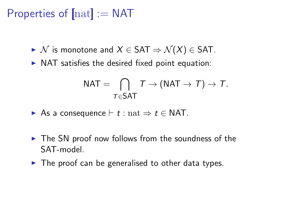# Properties of  $[nat] := NAT$

- $\triangleright$  N is monotone and  $X \in SAT \Rightarrow \mathcal{N}(X) \in SAT$ .
- $\triangleright$  NAT satisfies the desired fixed point equation:

$$
\mathsf{NAT} = \bigcap_{\mathcal{T} \in \mathsf{SAT}} \mathcal{T} \to (\mathsf{NAT} \to \mathcal{T}) \to \mathcal{T}.
$$

- As a consequence  $\vdash t : \text{nat} \Rightarrow t \in \text{NAT}$ .
- $\triangleright$  The SN proof now follows from the soundness of the SAT-model.
- $\triangleright$  The proof can be generalised to other data types.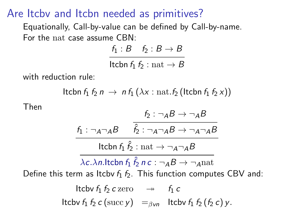## Are Itcbv and Itcbn needed as primitives?

Equationally, Call-by-value can be defined by Call-by-name. For the nat case assume CBN:

> $f_1 : B \quad f_2 : B \rightarrow B$ Itcbn  $f_1 f_2$  : nat  $\rightarrow B$

with reduction rule:

Itcbn  $f_1 f_2 n \rightarrow n f_1 (\lambda x : \text{nat.} f_2$  (Itchn  $f_1 f_2 x$ ))

Then

$$
\frac{f_2: \neg AB \rightarrow \neg AB}{f_1: \neg A \neg AB}
$$
\n
$$
\frac{f_1: \neg A \neg AB}{\hat{f}_2: \neg A \neg AB \rightarrow \neg A \neg AB}
$$
\n
$$
\frac{1 \text{tcbn } f_1 \hat{f}_2 : \text{nat} \rightarrow \neg A \neg AB}{\lambda c.\lambda n. \text{ltcbn } f_1 \hat{f}_2 n c : \neg AB \rightarrow \neg A n a t}
$$
\nDefine this term as  $\text{ltcbv } f_1 f_2$ . This function computes CBV and:

It to find the following:

\n
$$
\text{It: } f_1 \, f_2 \, c \, \text{zero} \quad \rightarrow \quad f_1 \, c
$$
\n
$$
\text{It: } f_1 \, f_2 \, c \, \text{(succ y)} \quad =_{\beta \, \text{vn}} \quad \text{It: } f_1 \, f_2 \, (f_2 \, c) \, y.
$$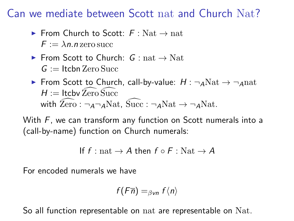# Can we mediate between Scott nat and Church Nat?

- From Church to Scott:  $F \cdot Nat \rightarrow nat$  $F := \lambda n$  n zero succ
- From Scott to Church:  $G : nat \rightarrow Nat$  $G :=$ Itcbn Zero Succ
- ► From Scott to Church, call-by-value:  $H: \neg_A \text{Nat} \rightarrow \neg_A \text{nat}$  $H :=$  Itcby Zero Succ with  $\text{Zero}: \neg_{\text{A}}\neg_{\text{A}}\text{Nat}$ , Succ :  $\neg_{\text{A}}\text{Nat} \rightarrow \neg_{\text{A}}\text{Nat}$ .

With F, we can transform any function on Scott numerals into a (call-by-name) function on Church numerals:

```
If f : \text{nat} \rightarrow A then f \circ F : \text{Nat} \rightarrow A
```
For encoded numerals we have

$$
f(F\overline{n}) =_{\beta \text{vn}} f\langle n \rangle
$$

So all function representable on nat are representable on Nat.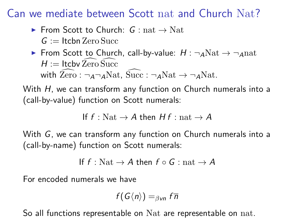Can we mediate between Scott nat and Church Nat?

 $\triangleright$  From Scott to Church: G : nat  $\rightarrow$  Nat

 $G :=$  Itchn Zero Succ

► From Scott to Church, call-by-value:  $H : \neg_A \text{Nat} \rightarrow \neg_A \text{nat}$  $H :=$  Itcbv Zero Succ with  $\overline{Zero}$  :  $\neg$ <sub>A</sub> $\neg$ <sub>A</sub>Nat, Succ :  $\neg$ <sub>A</sub>Nat  $\rightarrow$   $\neg$ <sub>A</sub>Nat.

With H, we can transform any function on Church numerals into a (call-by-value) function on Scott numerals:

If  $f : Nat \rightarrow A$  then  $Hf : nat \rightarrow A$ 

With G, we can transform any function on Church numerals into a (call-by-name) function on Scott numerals:

If  $f : Nat \rightarrow A$  then  $f \circ G : nat \rightarrow A$ 

For encoded numerals we have

$$
f(G\langle n\rangle)=_{\beta\mathsf{vn}}f\overline{n}
$$

So all functions representable on Nat are representable on nat.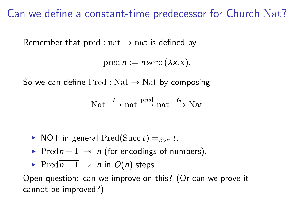## Can we define a constant-time predecessor for Church Nat?

Remember that  $pred : nat \rightarrow nat$  is defined by

pred  $n := n \operatorname{zero}(\lambda x.x)$ .

So we can define  $Pred : Nat \rightarrow Nat$  by composing

$$
Nat \xrightarrow{F} nat \xrightarrow{pred} nat \xrightarrow{G} Nat
$$

- In general Pred(Succ t)  $=$ <sub>βvn</sub> t.
- Pred $\overline{n+1}$   $\rightarrow \overline{n}$  (for encodings of numbers).
- Pred $\overline{n+1}$   $\rightarrow \overline{n}$  in  $O(n)$  steps.

Open question: can we improve on this? (Or can we prove it cannot be improved?)